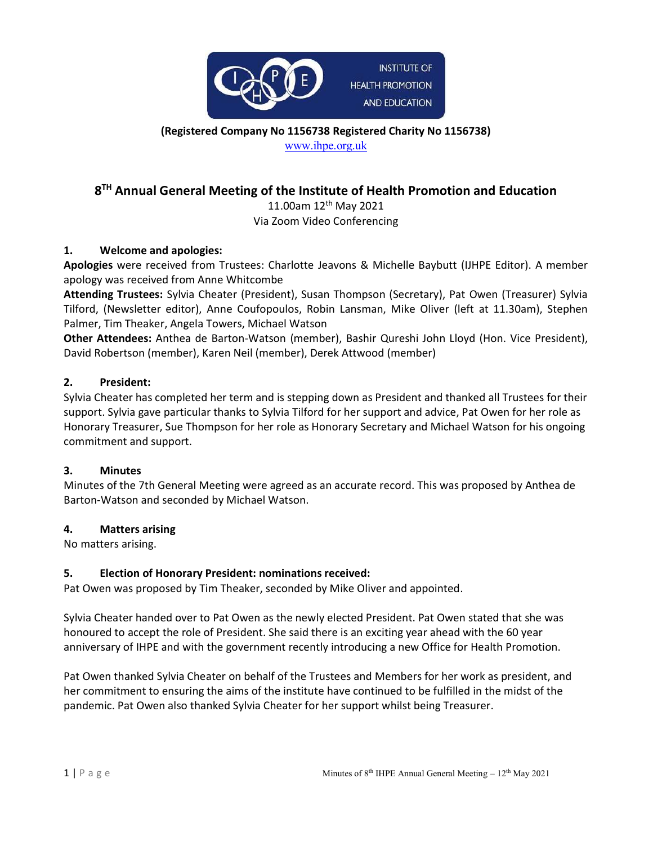

(Registered Company No 1156738 Registered Charity No 1156738) www.ihpe.org.uk

# 8<sup>TH</sup> Annual General Meeting of the Institute of Health Promotion and Education

11.00am 12th May 2021 Via Zoom Video Conferencing

#### 1. Welcome and apologies:

Apologies were received from Trustees: Charlotte Jeavons & Michelle Baybutt (IJHPE Editor). A member apology was received from Anne Whitcombe

Attending Trustees: Sylvia Cheater (President), Susan Thompson (Secretary), Pat Owen (Treasurer) Sylvia Tilford, (Newsletter editor), Anne Coufopoulos, Robin Lansman, Mike Oliver (left at 11.30am), Stephen Palmer, Tim Theaker, Angela Towers, Michael Watson

Other Attendees: Anthea de Barton-Watson (member), Bashir Qureshi John Lloyd (Hon. Vice President), David Robertson (member), Karen Neil (member), Derek Attwood (member)

#### 2. President:

Sylvia Cheater has completed her term and is stepping down as President and thanked all Trustees for their support. Sylvia gave particular thanks to Sylvia Tilford for her support and advice, Pat Owen for her role as Honorary Treasurer, Sue Thompson for her role as Honorary Secretary and Michael Watson for his ongoing commitment and support.

#### 3. Minutes

Minutes of the 7th General Meeting were agreed as an accurate record. This was proposed by Anthea de Barton-Watson and seconded by Michael Watson.

#### 4. Matters arising

No matters arising.

### 5. Election of Honorary President: nominations received:

Pat Owen was proposed by Tim Theaker, seconded by Mike Oliver and appointed.

Sylvia Cheater handed over to Pat Owen as the newly elected President. Pat Owen stated that she was honoured to accept the role of President. She said there is an exciting year ahead with the 60 year anniversary of IHPE and with the government recently introducing a new Office for Health Promotion.

Pat Owen thanked Sylvia Cheater on behalf of the Trustees and Members for her work as president, and her commitment to ensuring the aims of the institute have continued to be fulfilled in the midst of the pandemic. Pat Owen also thanked Sylvia Cheater for her support whilst being Treasurer.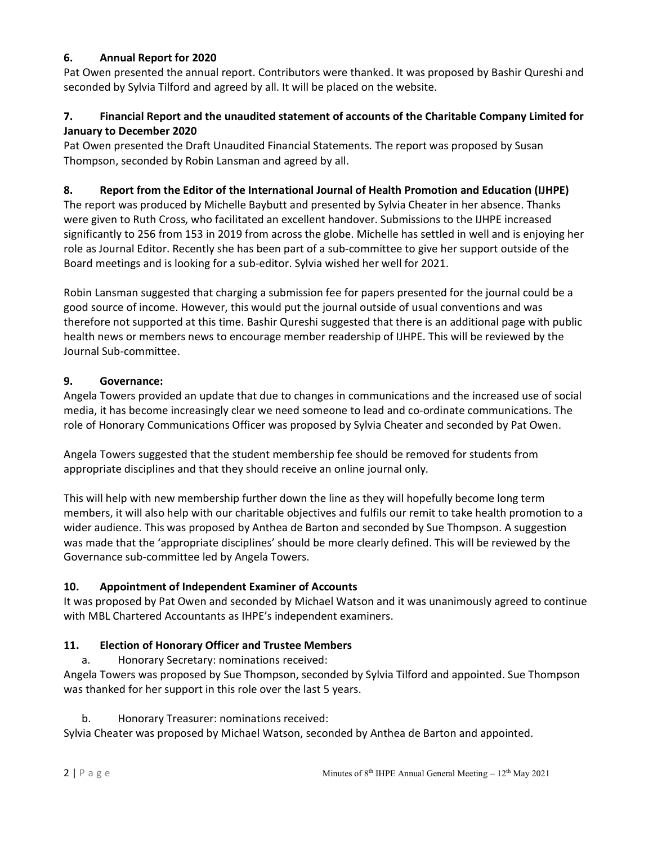### 6. Annual Report for 2020

Pat Owen presented the annual report. Contributors were thanked. It was proposed by Bashir Qureshi and seconded by Sylvia Tilford and agreed by all. It will be placed on the website.

## 7. Financial Report and the unaudited statement of accounts of the Charitable Company Limited for January to December 2020

Pat Owen presented the Draft Unaudited Financial Statements. The report was proposed by Susan Thompson, seconded by Robin Lansman and agreed by all.

## 8. Report from the Editor of the International Journal of Health Promotion and Education (IJHPE)

The report was produced by Michelle Baybutt and presented by Sylvia Cheater in her absence. Thanks were given to Ruth Cross, who facilitated an excellent handover. Submissions to the IJHPE increased significantly to 256 from 153 in 2019 from across the globe. Michelle has settled in well and is enjoying her role as Journal Editor. Recently she has been part of a sub-committee to give her support outside of the Board meetings and is looking for a sub-editor. Sylvia wished her well for 2021.

Robin Lansman suggested that charging a submission fee for papers presented for the journal could be a good source of income. However, this would put the journal outside of usual conventions and was therefore not supported at this time. Bashir Qureshi suggested that there is an additional page with public health news or members news to encourage member readership of IJHPE. This will be reviewed by the Journal Sub-committee.

### 9. Governance:

Angela Towers provided an update that due to changes in communications and the increased use of social media, it has become increasingly clear we need someone to lead and co-ordinate communications. The role of Honorary Communications Officer was proposed by Sylvia Cheater and seconded by Pat Owen.

Angela Towers suggested that the student membership fee should be removed for students from appropriate disciplines and that they should receive an online journal only.

This will help with new membership further down the line as they will hopefully become long term members, it will also help with our charitable objectives and fulfils our remit to take health promotion to a wider audience. This was proposed by Anthea de Barton and seconded by Sue Thompson. A suggestion was made that the 'appropriate disciplines' should be more clearly defined. This will be reviewed by the Governance sub-committee led by Angela Towers.

## 10. Appointment of Independent Examiner of Accounts

It was proposed by Pat Owen and seconded by Michael Watson and it was unanimously agreed to continue with MBL Chartered Accountants as IHPE's independent examiners.

### 11. Election of Honorary Officer and Trustee Members

a. Honorary Secretary: nominations received:

Angela Towers was proposed by Sue Thompson, seconded by Sylvia Tilford and appointed. Sue Thompson was thanked for her support in this role over the last 5 years.

### b. Honorary Treasurer: nominations received:

Sylvia Cheater was proposed by Michael Watson, seconded by Anthea de Barton and appointed.